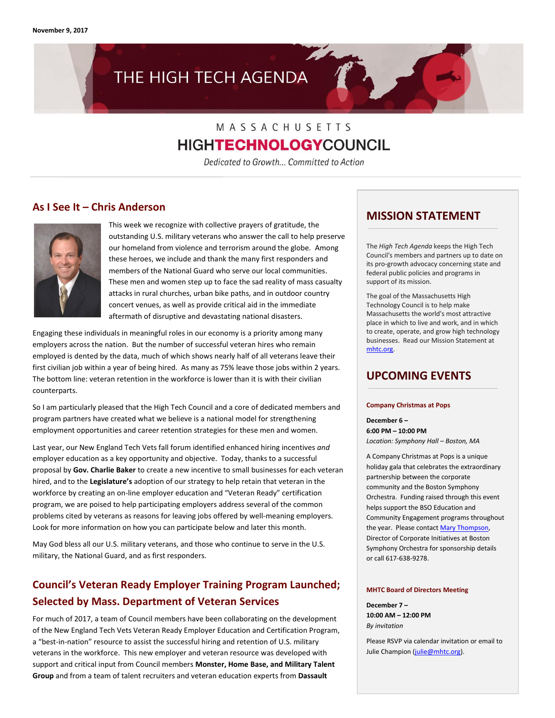# THE HIGH TECH AGENDA

## MASSACHUSETTS **HIGHTECHNOLOGY**COUNCIL

Dedicated to Growth... Committed to Action

#### **As I See It – Chris Anderson**



This week we recognize with collective prayers of gratitude, the outstanding U.S. military veterans who answer the call to help preserve our homeland from violence and terrorism around the globe. Among these heroes, we include and thank the many first responders and members of the National Guard who serve our local communities. These men and women step up to face the sad reality of mass casualty attacks in rural churches, urban bike paths, and in outdoor country concert venues, as well as provide critical aid in the immediate aftermath of disruptive and devastating national disasters.

Engaging these individuals in meaningful roles in our economy is a priority among many employers across the nation. But the number of successful veteran hires who remain employed is dented by the data, much of which shows nearly half of all veterans leave their first civilian job within a year of being hired. As many as 75% leave those jobs within 2 years. The bottom line: veteran retention in the workforce is lower than it is with their civilian counterparts.

So I am particularly pleased that the High Tech Council and a core of dedicated members and program partners have created what we believe is a national model for strengthening employment opportunities and career retention strategies for these men and women.

Last year, our New England Tech Vets fall forum identified enhanced hiring incentives *and* employer education as a key opportunity and objective. Today, thanks to a successful proposal by **Gov. Charlie Baker** to create a new incentive to small businesses for each veteran hired, and to the **Legislature's** adoption of our strategy to help retain that veteran in the workforce by creating an on-line employer education and "Veteran Ready" certification program, we are poised to help participating employers address several of the common problems cited by veterans as reasons for leaving jobs offered by well-meaning employers. Look for more information on how you can participate below and later this month.

May God bless all our U.S. military veterans, and those who continue to serve in the U.S. military, the National Guard, and as first responders.

## **Council's Veteran Ready Employer Training Program Launched; Selected by Mass. Department of Veteran Services**

For much of 2017, a team of Council members have been collaborating on the development of the New England Tech Vets Veteran Ready Employer Education and Certification Program, a "best-in-nation" resource to assist the successful hiring and retention of U.S. military veterans in the workforce. This new employer and veteran resource was developed with support and critical input from Council members **Monster, Home Base, and Military Talent Group** and from a team of talent recruiters and veteran education experts from **Dassault** 

#### **MISSION STATEMENT**

The *High Tech Agenda* keeps the High Tech Council's members and partners up to date on its pro-growth advocacy concerning state and federal public policies and programs in support of its mission.

The goal of the Massachusetts High Technology Council is to help make Massachusetts the world's most attractive place in which to live and work, and in which to create, operate, and grow high technology businesses. Read our Mission Statement at [mhtc.org.](http://www.mhtc.org/) 

#### **UPCOMING EVENTS**

#### **Company Christmas at Pops**

**December 6 – 6:00 PM – 10:00 PM** *Location: Symphony Hall – Boston, MA*

A Company Christmas at Pops is a unique holiday gala that celebrates the extraordinary partnership between the corporate community and the Boston Symphony Orchestra. Funding raised through this event helps support the BSO Education and Community Engagement programs throughout the year. Please contac[t Mary Thompson,](http://mail%20to:%20mthomson@bso.org) Director of Corporate Initiatives at Boston Symphony Orchestra for sponsorship details or call 617-638-9278.

#### **MHTC Board of Directors Meeting**

**December 7 – 10:00 AM – 12:00 PM** *By invitation*

Please RSVP via calendar invitation or email to Julie Champion [\(julie@mhtc.org\).](mailto:julie@mhtc.org)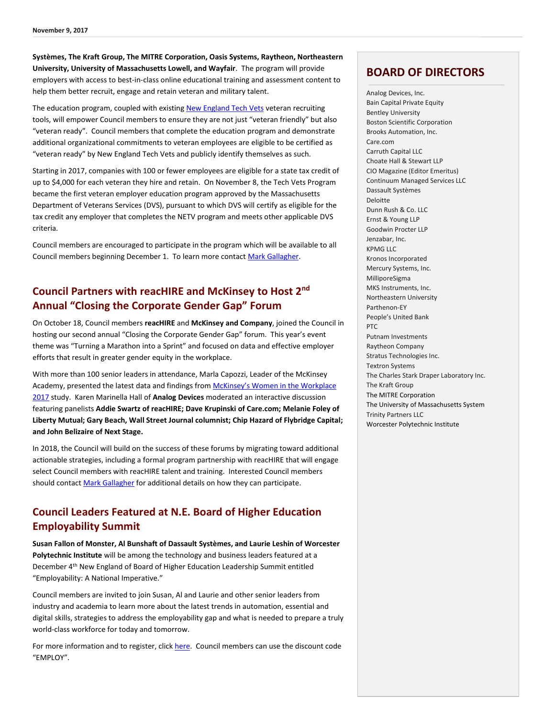**Systèmes, The Kraft Group, The MITRE Corporation, Oasis Systems, Raytheon, Northeastern University, University of Massachusetts Lowell, and Wayfair**. The program will provide employers with access to best-in-class online educational training and assessment content to help them better recruit, engage and retain veteran and military talent.

The education program, coupled with existin[g New England Tech Vets](http://www.newenglandtechvets.org/) veteran recruiting tools, will empower Council members to ensure they are not just "veteran friendly" but also "veteran ready". Council members that complete the education program and demonstrate additional organizational commitments to veteran employees are eligible to be certified as "veteran ready" by New England Tech Vets and publicly identify themselves as such.

Starting in 2017, companies with 100 or fewer employees are eligible for a state tax credit of up to \$4,000 for each veteran they hire and retain. On November 8, the Tech Vets Program became the first veteran employer education program approved by the Massachusetts Department of Veterans Services (DVS), pursuant to which DVS will certify as eligible for the tax credit any employer that completes the NETV program and meets other applicable DVS criteria.

Council members are encouraged to participate in the program which will be available to all Council members beginning December 1. To learn more contac[t Mark Gallagher.](mailto:mark@mhtc.org?subject=NETV%20Employer%20Certification%20Program%20Inquiry) 

### **Council Partners with reacHIRE and McKinsey to Host 2nd Annual "Closing the Corporate Gender Gap" Forum**

On October 18, Council members **reacHIRE** and **McKinsey and Company**, joined the Council in hosting our second annual "Closing the Corporate Gender Gap" forum. This year's event theme was "Turning a Marathon into a Sprint" and focused on data and effective employer efforts that result in greater gender equity in the workplace.

With more than 100 senior leaders in attendance, Marla Capozzi, Leader of the McKinsey Academy, presented the latest data and findings from [McKinsey's Women in the Workplace](https://womenintheworkplace.com/)  [2017](https://womenintheworkplace.com/) study. Karen Marinella Hall of **Analog Devices** moderated an interactive discussion featuring panelists **Addie Swartz of reacHIRE; Dave Krupinski of Care.com; Melanie Foley of Liberty Mutual; Gary Beach, Wall Street Journal columnist; Chip Hazard of Flybridge Capital; and John Belizaire of Next Stage.**

In 2018, the Council will build on the success of these forums by migrating toward additional actionable strategies, including a formal program partnership with reacHIRE that will engage select Council members with reacHIRE talent and training. Interested Council members should contact [Mark Gallagher](mailto:mark@mhtc.org) for additional details on how they can participate.

#### **Council Leaders Featured at N.E. Board of Higher Education Employability Summit**

**Susan Fallon of Monster, Al Bunshaft of Dassault Systèmes, and Laurie Leshin of Worcester Polytechnic Institute** will be among the technology and business leaders featured at a December 4th New England of Board of Higher Education Leadership Summit entitled "Employability: A National Imperative."

Council members are invited to join Susan, Al and Laurie and other senior leaders from industry and academia to learn more about the latest trends in automation, essential and digital skills, strategies to address the employability gap and what is needed to prepare a truly world-class workforce for today and tomorrow.

For more information and to register, click [here.](https://www.regonline.com/registration/Checkin.aspx?EventID=2020420) Council members can use the discount code "EMPLOY".

#### **BOARD OF DIRECTORS**

Analog Devices, Inc. Bain Capital Private Equity Bentley University Boston Scientific Corporation Brooks Automation, Inc. Care.com Carruth Capital LLC Choate Hall & Stewart LLP CIO Magazine (Editor Emeritus) Continuum Managed Services LLC Dassault Systèmes Deloitte Dunn Rush & Co. LLC Ernst & Young LLP Goodwin Procter LLP Jenzabar, Inc. KPMG LLC Kronos Incorporated Mercury Systems, Inc. MilliporeSigma MKS Instruments, Inc. Northeastern University Parthenon-EY People's United Bank PTC Putnam Investments Raytheon Company Stratus Technologies Inc. Textron Systems The Charles Stark Draper Laboratory Inc. The Kraft Group The MITRE Corporation The University of Massachusetts System Trinity Partners LLC Worcester Polytechnic Institute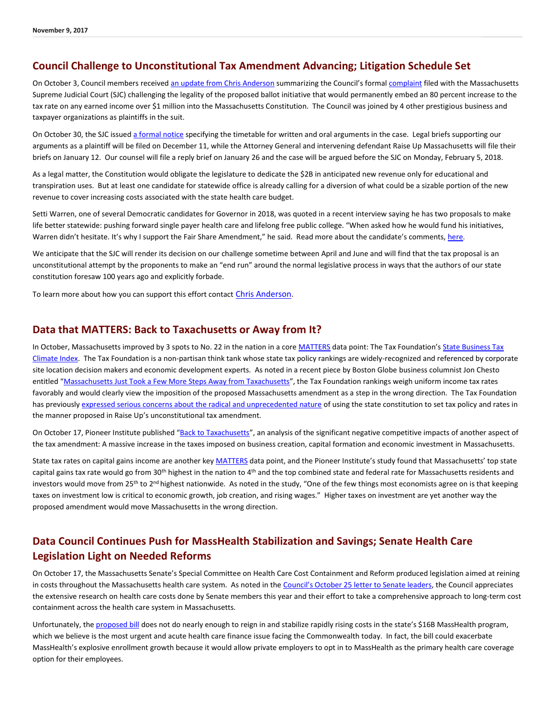#### **Council Challenge to Unconstitutional Tax Amendment Advancing; Litigation Schedule Set**

On October 3, Council members received an update [from Chris Anderson](http://www.mhtc.org/wp-content/uploads/2017/11/ConstitutionalAmendmentChallengeFiledToday_CA_10032017.pdf) summarizing the Council's formal [complaint](http://www.mhtc.org/wp-content/uploads/2017/10/MHTC-Complaint-Final.pdf) filed with the Massachusetts Supreme Judicial Court (SJC) challenging the legality of the proposed ballot initiative that would permanently embed an 80 percent increase to the tax rate on any earned income over \$1 million into the Massachusetts Constitution. The Council was joined by 4 other prestigious business and taxpayer organizations as plaintiffs in the suit.

On October 30, the SJC issue[d a formal notice](http://www.mhtc.org/wp-content/uploads/2017/11/SJC_SingleJusticeOrder_10302017.pdf) specifying the timetable for written and oral arguments in the case. Legal briefs supporting our arguments as a plaintiff will be filed on December 11, while the Attorney General and intervening defendant Raise Up Massachusetts will file their briefs on January 12. Our counsel will file a reply brief on January 26 and the case will be argued before the SJC on Monday, February 5, 2018.

As a legal matter, the Constitution would obligate the legislature to dedicate the \$2B in anticipated new revenue only for educational and transpiration uses. But at least one candidate for statewide office is already calling for a diversion of what could be a sizable portion of the new revenue to cover increasing costs associated with the state health care budget.

Setti Warren, one of several Democratic candidates for Governor in 2018, was quoted in a recent interview saying he has two proposals to make life better statewide: pushing forward single payer health care and lifelong free public college. "When asked how he would fund his initiatives, Warren didn't hesitate. It's why I support the Fair Share Amendment," he said. Read more about the candidate's comments, [here.](http://marblehead.wickedlocal.com/news/20171024/conversation-with-gubernatorial-candidate-setti-warren-in-marblehead)

We anticipate that the SJC will render its decision on our challenge sometime between April and June and will find that the tax proposal is an unconstitutional attempt by the proponents to make an "end run" around the normal legislative process in ways that the authors of our state constitution foresaw 100 years ago and explicitly forbade.

To learn more about how you can support this effort contact [Chris Anderson.](mailto:chris@mhtc.org)

#### **Data that MATTERS: Back to Taxachusetts or Away from It?**

In October, Massachusetts improved by 3 spots to No. 22 in the nation in a cor[e MATTERS](http://matters.mhtc.org/profile) data point: The Tax Foundation's [State Business Tax](https://taxfoundation.org/state-business-tax-climate-index-2018/?et_rid=1822216659&s_campaign=talkingpoints:newsletter)  [Climate Index.](https://taxfoundation.org/state-business-tax-climate-index-2018/?et_rid=1822216659&s_campaign=talkingpoints:newsletter) The Tax Foundation is a non-partisan think tank whose state tax policy rankings are widely-recognized and referenced by corporate site location decision makers and economic development experts. As noted in a recent piece by Boston Globe business columnist Jon Chesto entitled "[Massachusetts Just Took a Few More Steps Away from Taxachusetts](https://www.bostonglobe.com/business/talking-points/2017/10/17/mass-just-took-few-more-steps-away-from-taxachusetts/2VXWLAvOeN5BFkKijR3xAK/story.html)", the Tax Foundation rankings weigh uniform income tax rates favorably and would clearly view the imposition of the proposed Massachusetts amendment as a step in the wrong direction. The Tax Foundation has previousl[y expressed serious concerns about the radical and unprecedented nature](https://taxfoundation.org/massachusetts-may-set-its-income-tax-rate-constitution-how-unusual/) of using the state constitution to set tax policy and rates in the manner proposed in Raise Up's unconstitutional tax amendment.

On October 17, Pioneer Institute published "[Back to Taxachusetts](https://pioneerinstitute.org/economic_opportunity/study-proposition-80-give-ma-2nd-highest-combined-state-federal-capital-gains-tax-rate-u-s/)", an analysis of the significant negative competitive impacts of another aspect of the tax amendment: A massive increase in the taxes imposed on business creation, capital formation and economic investment in Massachusetts.

State tax rates on capital gains income are another ke[y MATTERS](http://matters.mhtc.org/profile) data point, and the Pioneer Institute's study found that Massachusetts' top state capital gains tax rate would go from 30<sup>th</sup> highest in the nation to 4<sup>th</sup> and the top combined state and federal rate for Massachusetts residents and investors would move from 25<sup>th</sup> to 2<sup>nd</sup> highest nationwide. As noted in the study, "One of the few things most economists agree on is that keeping taxes on investment low is critical to economic growth, job creation, and rising wages." Higher taxes on investment are yet another way the proposed amendment would move Massachusetts in the wrong direction.

#### **Data Council Continues Push for MassHealth Stabilization and Savings; Senate Health Care Legislation Light on Needed Reforms**

On October 17, the Massachusetts Senate's Special Committee on Health Care Cost Containment and Reform produced legislation aimed at reining in costs throughout the Massachusetts health care system. As noted in the [Council's October 25 letter to Senate leaders](http://www.mhtc.org/wp-content/uploads/2017/10/Council-Letter-to-Legislators-re-Senate-Health-Care-Reform-Bill-10.25.17_F.pdf), the Council appreciates the extensive research on health care costs done by Senate members this year and their effort to take a comprehensive approach to long-term cost containment across the health care system in Massachusetts.

Unfortunately, the [proposed bill](https://malegislature.gov/Bills/190/S2190) does not do nearly enough to reign in and stabilize rapidly rising costs in the state's \$16B MassHealth program, which we believe is the most urgent and acute health care finance issue facing the Commonwealth today. In fact, the bill could exacerbate MassHealth's explosive enrollment growth because it would allow private employers to opt in to MassHealth as the primary health care coverage option for their employees.